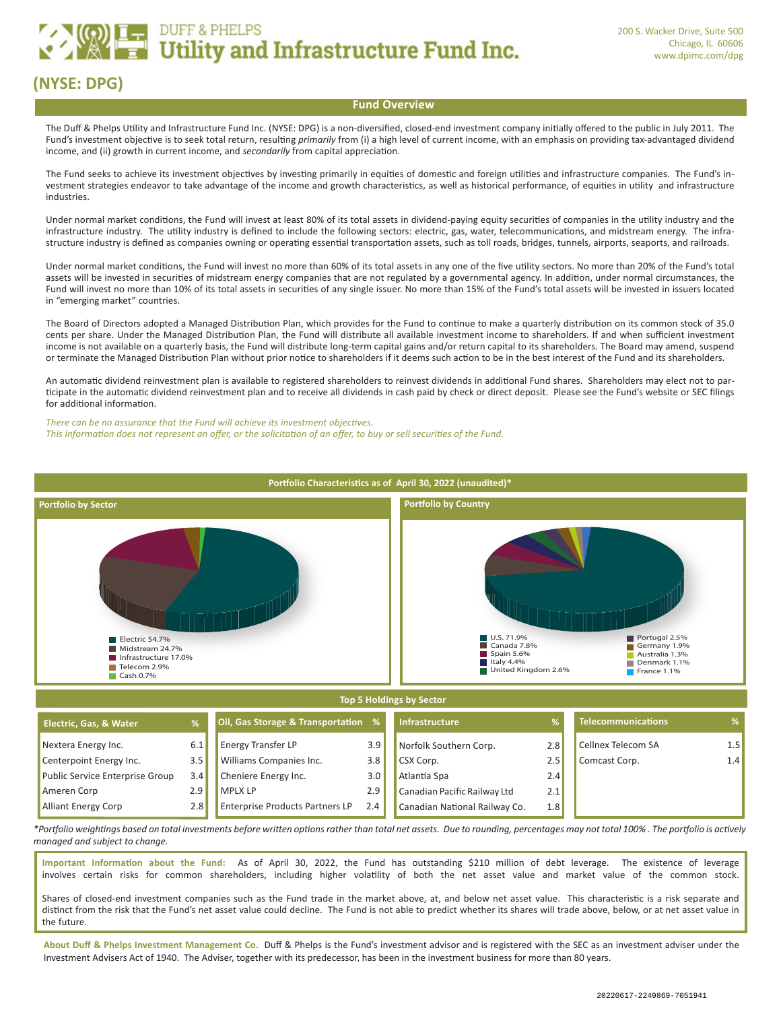# **EXAMPLE DUFF & PHELPS**<br> **EXAMPLE Utility and Infrastructure Fund Inc.**

## **(NYSE: DPG)**

#### **Fund Overview**

The Duff & Phelps Utility and Infrastructure Fund Inc. (NYSE: DPG) is a non-diversified, closed-end investment company initially offered to the public in July 2011. The Fund's investment objective is to seek total return, resulting *primarily* from (i) a high level of current income, with an emphasis on providing tax-advantaged dividend income, and (ii) growth in current income, and *secondarily* from capital appreciation.

The Fund seeks to achieve its investment objectives by investing primarily in equities of domestic and foreign utilities and infrastructure companies. The Fund's investment strategies endeavor to take advantage of the income and growth characteristics, as well as historical performance, of equities in utility and infrastructure industries.

Under normal market conditions, the Fund will invest at least 80% of its total assets in dividend-paying equity securities of companies in the utility industry and the infrastructure industry. The utility industry is defined to include the following sectors: electric, gas, water, telecommunications, and midstream energy. The infrastructure industry is defined as companies owning or operating essential transportation assets, such as toll roads, bridges, tunnels, airports, seaports, and railroads.

Under normal market conditions, the Fund will invest no more than 60% of its total assets in any one of the five utility sectors. No more than 20% of the Fund's total assets will be invested in securities of midstream energy companies that are not regulated by a governmental agency. In addition, under normal circumstances, the Fund will invest no more than 10% of its total assets in securities of any single issuer. No more than 15% of the Fund's total assets will be invested in issuers located in "emerging market" countries.

The Board of Directors adopted a Managed Distribution Plan, which provides for the Fund to continue to make a quarterly distribution on its common stock of 35.0 cents per share. Under the Managed Distribution Plan, the Fund will distribute all available investment income to shareholders. If and when sufficient investment income is not available on a quarterly basis, the Fund will distribute long-term capital gains and/or return capital to its shareholders. The Board may amend, suspend or terminate the Managed Distribution Plan without prior notice to shareholders if it deems such action to be in the best interest of the Fund and its shareholders.

An automatic dividend reinvestment plan is available to registered shareholders to reinvest dividends in additional Fund shares. Shareholders may elect not to participate in the automatic dividend reinvestment plan and to receive all dividends in cash paid by check or direct deposit. Please see the Fund's website or SEC filings for additional information.

*There can be no assurance that the Fund will achieve its investment objectives. This information does not represent an offer, or the solicitation of an offer, to buy or sell securities of the Fund.*



#### **Top 5 Holdings by Sector**

| Electric, Gas, & Water          |     | Oil, Gas Storage & Transportation %    |     | <b>Infrastructure</b>         |     | Telecommunications        | ℅                |
|---------------------------------|-----|----------------------------------------|-----|-------------------------------|-----|---------------------------|------------------|
| Nextera Energy Inc.             | 6.1 | Energy Transfer LP                     | 3.9 | Norfolk Southern Corp.        | 2.8 | <b>Cellnex Telecom SA</b> | 1.5 <sub>1</sub> |
| Centerpoint Energy Inc.         | 3.5 | <b>Williams Companies Inc.</b>         | 3.8 | CSX Corp.                     | 2.5 | Comcast Corp.             | 1.4              |
| Public Service Enterprise Group | 3.4 | Cheniere Energy Inc.                   | 3.0 | Atlantia Spa                  | 2.4 |                           |                  |
| Ameren Corp                     | 2.9 | <b>MPLX LP</b>                         | 2.9 | Canadian Pacific Railway Ltd  | 2.1 |                           |                  |
| <b>Alliant Energy Corp</b>      | 2.8 | <b>Enterprise Products Partners LP</b> | 2.4 | Canadian National Railway Co. | 1.8 |                           |                  |

*\*Portfolio weightings based on total investments before written options rather than total net assets. Due to rounding, percentages may not total 100% . The portfolio is actively managed and subject to change.*

**Important Information about the Fund:** As of April 30, 2022, the Fund has outstanding \$210 million of debt leverage. The existence of leverage involves certain risks for common shareholders, including higher volatility of both the net asset value and market value of the common stock.

Shares of closed-end investment companies such as the Fund trade in the market above, at, and below net asset value. This characteristic is a risk separate and distinct from the risk that the Fund's net asset value could decline. The Fund is not able to predict whether its shares will trade above, below, or at net asset value in the future.

**About Duff & Phelps Investment Management Co.** Duff & Phelps is the Fund's investment advisor and is registered with the SEC as an investment adviser under the Investment Advisers Act of 1940. The Adviser, together with its predecessor, has been in the investment business for more than 80 years.